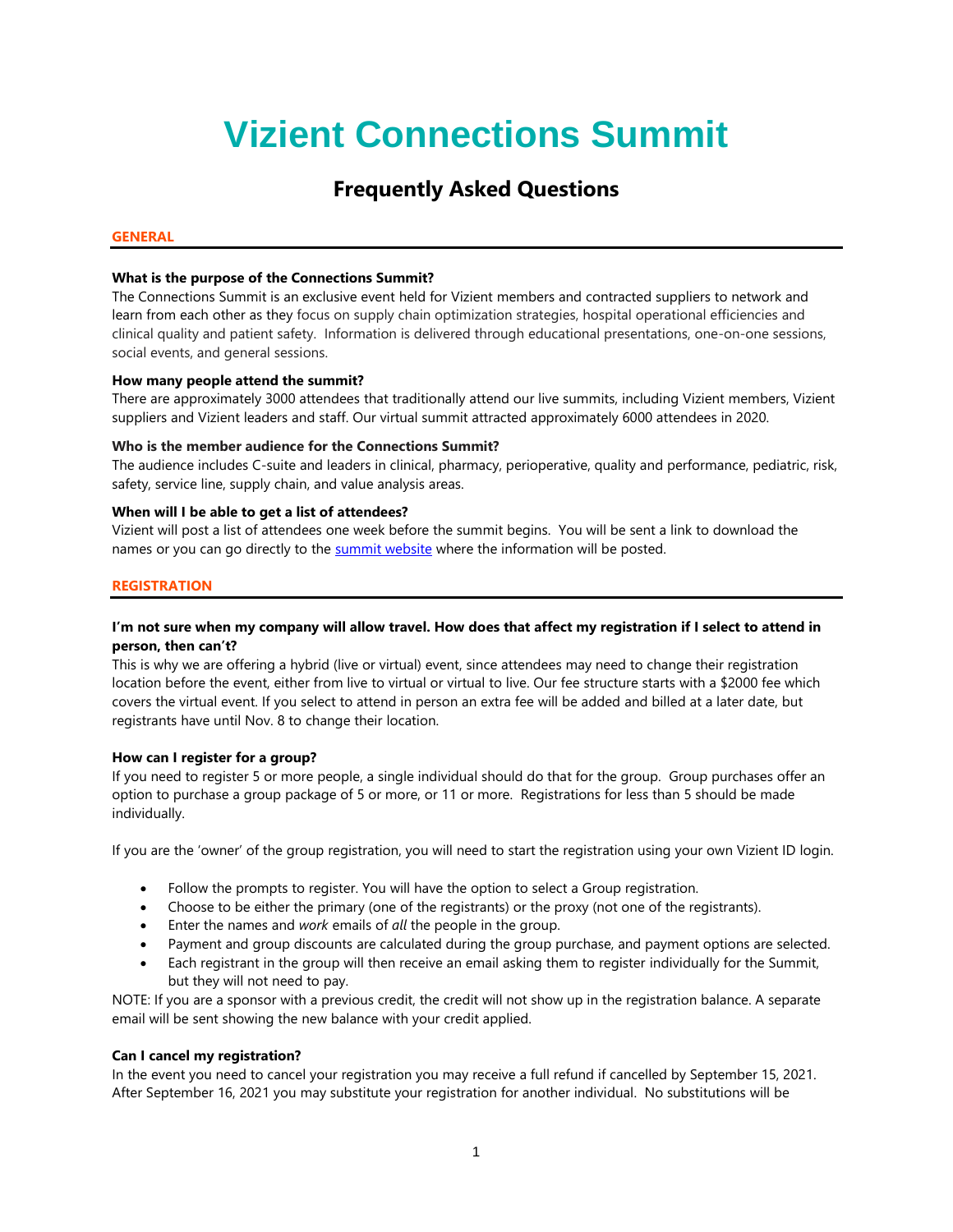# **Vizient Connections Summit**

# **Frequently Asked Questions**

# **GENERAL**

# **What is the purpose of the Connections Summit?**

The Connections Summit is an exclusive event held for Vizient members and contracted suppliers to network and learn from each other as they focus on supply chain optimization strategies, hospital operational efficiencies and clinical quality and patient safety. Information is delivered through educational presentations, one-on-one sessions, social events, and general sessions.

# **How many people attend the summit?**

There are approximately 3000 attendees that traditionally attend our live summits, including Vizient members, Vizient suppliers and Vizient leaders and staff. Our virtual summit attracted approximately 6000 attendees in 2020.

# **Who is the member audience for the Connections Summit?**

The audience includes C-suite and leaders in clinical, pharmacy, perioperative, quality and performance, pediatric, risk, safety, service line, supply chain, and value analysis areas.

# **When will I be able to get a list of attendees?**

Vizient will post a list of attendees one week before the summit begins. You will be sent a link to download the names or you can go directly to the [summit website](http://vizientconnectionssummit.com/index.html) where the information will be posted.

# **REGISTRATION**

# **I'm not sure when my company will allow travel. How does that affect my registration if I select to attend in person, then can't?**

This is why we are offering a hybrid (live or virtual) event, since attendees may need to change their registration location before the event, either from live to virtual or virtual to live. Our fee structure starts with a \$2000 fee which covers the virtual event. If you select to attend in person an extra fee will be added and billed at a later date, but registrants have until Nov. 8 to change their location.

# **How can I register for a group?**

If you need to register 5 or more people, a single individual should do that for the group. Group purchases offer an option to purchase a group package of 5 or more, or 11 or more. Registrations for less than 5 should be made individually.

If you are the 'owner' of the group registration, you will need to start the registration using your own Vizient ID login.

- Follow the prompts to register. You will have the option to select a Group registration.
- Choose to be either the primary (one of the registrants) or the proxy (not one of the registrants).
- Enter the names and *work* emails of *all* the people in the group.
- Payment and group discounts are calculated during the group purchase, and payment options are selected.
- Each registrant in the group will then receive an email asking them to register individually for the Summit, but they will not need to pay.

NOTE: If you are a sponsor with a previous credit, the credit will not show up in the registration balance. A separate email will be sent showing the new balance with your credit applied.

# **Can I cancel my registration?**

In the event you need to cancel your registration you may receive a full refund if cancelled by September 15, 2021. After September 16, 2021 you may substitute your registration for another individual. No substitutions will be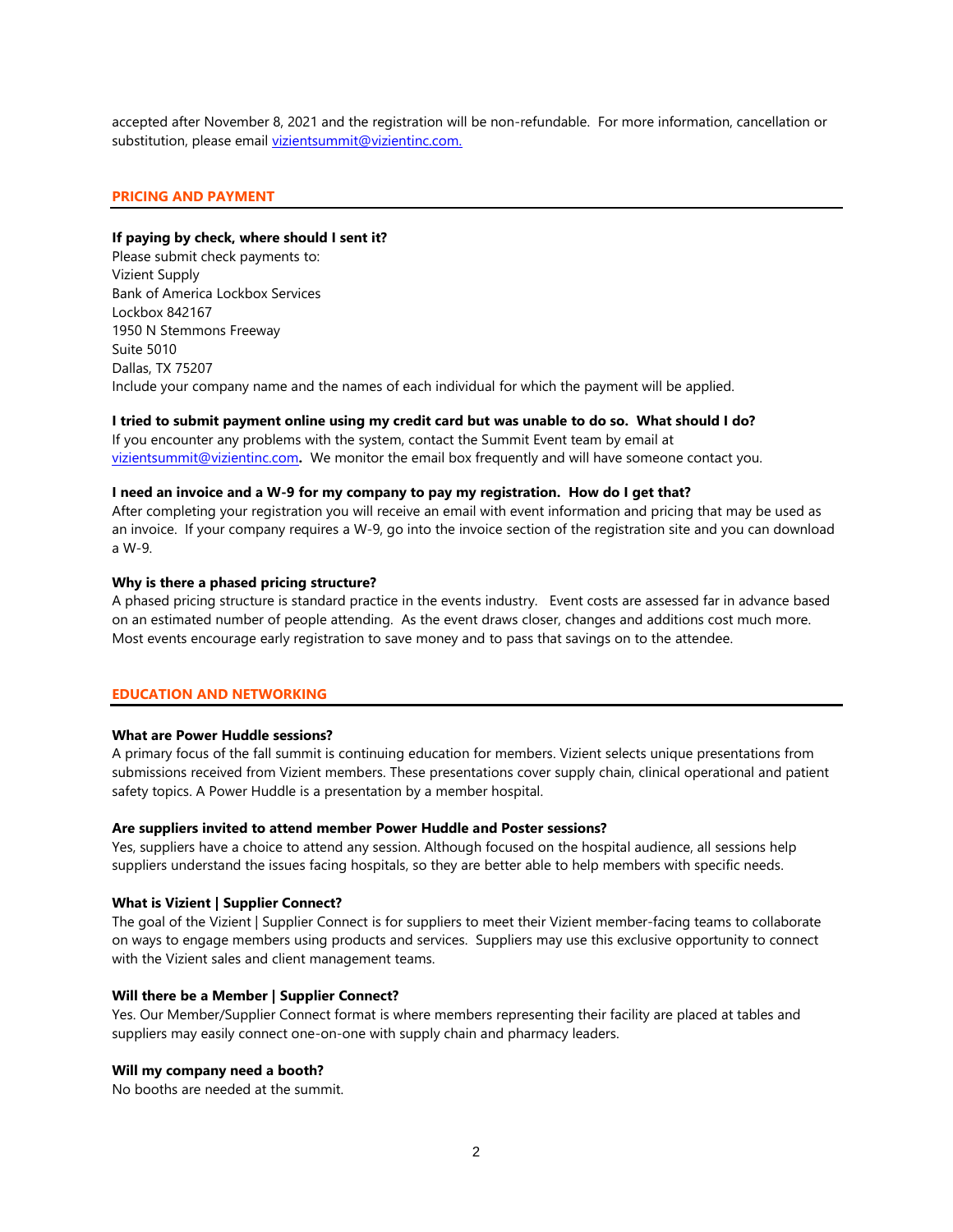accepted after November 8, 2021 and the registration will be non-refundable. For more information, cancellation or substitution, please email [vizientsummit@vizientinc.com.](mailto:vizientsummit@vizientinc.com)

#### **PRICING AND PAYMENT**

#### **If paying by check, where should I sent it?**

Please submit check payments to: Vizient Supply Bank of America Lockbox Services Lockbox 842167 1950 N Stemmons Freeway Suite 5010 Dallas, TX 75207 Include your company name and the names of each individual for which the payment will be applied.

#### **I tried to submit payment online using my credit card but was unable to do so. What should I do?**

If you encounter any problems with the system, contact the Summit Event team by email at [vizientsummit@vizientinc.com](mailto:vizientsummit@vizientinc.com)**.** We monitor the email box frequently and will have someone contact you.

#### **I need an invoice and a W-9 for my company to pay my registration. How do I get that?**

After completing your registration you will receive an email with event information and pricing that may be used as an invoice. If your company requires a W-9, go into the invoice section of the registration site and you can download a W-9.

# **Why is there a phased pricing structure?**

A phased pricing structure is standard practice in the events industry. Event costs are assessed far in advance based on an estimated number of people attending. As the event draws closer, changes and additions cost much more. Most events encourage early registration to save money and to pass that savings on to the attendee.

# **EDUCATION AND NETWORKING**

# **What are Power Huddle sessions?**

A primary focus of the fall summit is continuing education for members. Vizient selects unique presentations from submissions received from Vizient members. These presentations cover supply chain, clinical operational and patient safety topics. A Power Huddle is a presentation by a member hospital.

# **Are suppliers invited to attend member Power Huddle and Poster sessions?**

Yes, suppliers have a choice to attend any session. Although focused on the hospital audience, all sessions help suppliers understand the issues facing hospitals, so they are better able to help members with specific needs.

#### **What is Vizient | Supplier Connect?**

The goal of the Vizient | Supplier Connect is for suppliers to meet their Vizient member-facing teams to collaborate on ways to engage members using products and services. Suppliers may use this exclusive opportunity to connect with the Vizient sales and client management teams.

#### **Will there be a Member | Supplier Connect?**

Yes. Our Member/Supplier Connect format is where members representing their facility are placed at tables and suppliers may easily connect one-on-one with supply chain and pharmacy leaders.

#### **Will my company need a booth?**

No booths are needed at the summit.